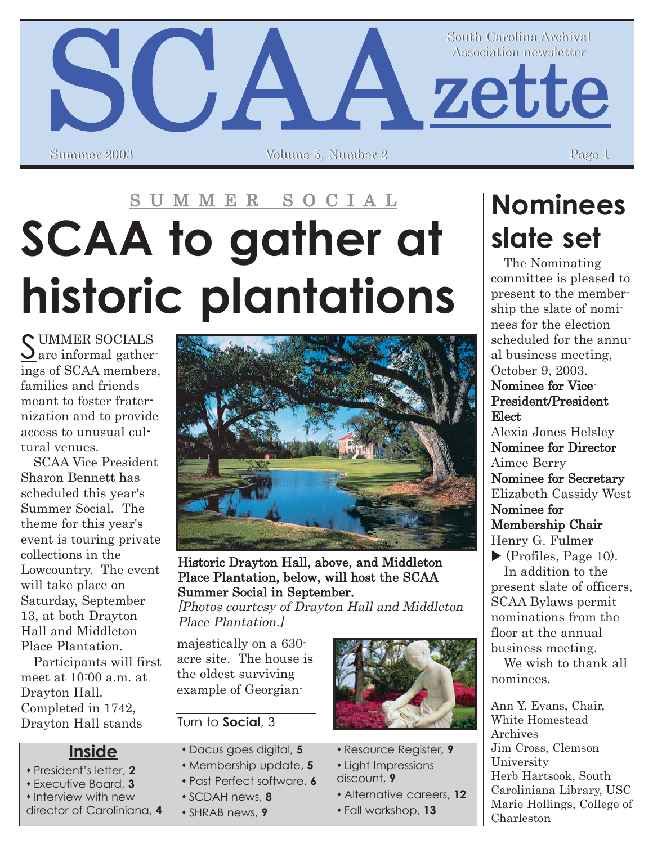# SCAAZette South Carolina Archival South Carolina Archival Association newsletter Association newsletter Volume 5, Number 2

# S U M M E R S O C I A L **SCAA to gather at historic plantations**

SUMMER SOCIALS<br>
are informal gatherings of SCAA members, families and friends meant to foster fraternization and to provide access to unusual cultural venues.

SCAA Vice President Sharon Bennett has scheduled this year's Summer Social. The theme for this year's event is touring private collections in the Lowcountry. The event will take place on Saturday, September 13, at both Drayton Hall and Middleton Place Plantation.

Participants will first meet at 10:00 a.m. at Drayton Hall. Completed in 1742, Drayton Hall stands

#### **Inside**

- **\*** President's letter, 2
- ! Executive Board, **3**
- **\*** Interview with new

director of Caroliniana, **4**



Historic Drayton Hall, above, and Middleton Place Plantation, below, will host the SCAA Summer Social in September.

[Photos courtesy of Drayton Hall and Middleton Place Plantation.]

majestically on a 630 acre site. The house is the oldest surviving example of Georgian-

#### Turn to **Social**, 3

- ! Dacus goes digital, **5**
- ! Membership update, **5**
- ! Past Perfect software, **6**
- ! SCDAH news, **8**
- ! SHRAB news, **9**



- ! Resource Register, **9**
- **\*** Light Impressions
- discount, **9**
	- ! Alternative careers, **12**
	- ! Fall workshop, **13**

# **Nominees slate set**

The Nominating committee is pleased to present to the membership the slate of nominees for the election scheduled for the annual business meeting, October 9, 2003. Nominee for Vice-

### President/President Elect

Alexia Jones Helsley Nominee for Director Aimee Berry Nominee for Secretary Elizabeth Cassidy West Nominee for Membership Chair Henry G. Fulmer

 $\blacktriangleright$  (Profiles, Page 10). In addition to the present slate of officers, SCAA Bylaws permit nominations from the floor at the annual business meeting.

We wish to thank all nominees.

Ann Y. Evans, Chair, White Homestead Archives Jim Cross, Clemson University Herb Hartsook, South Caroliniana Library, USC Marie Hollings, College of Charleston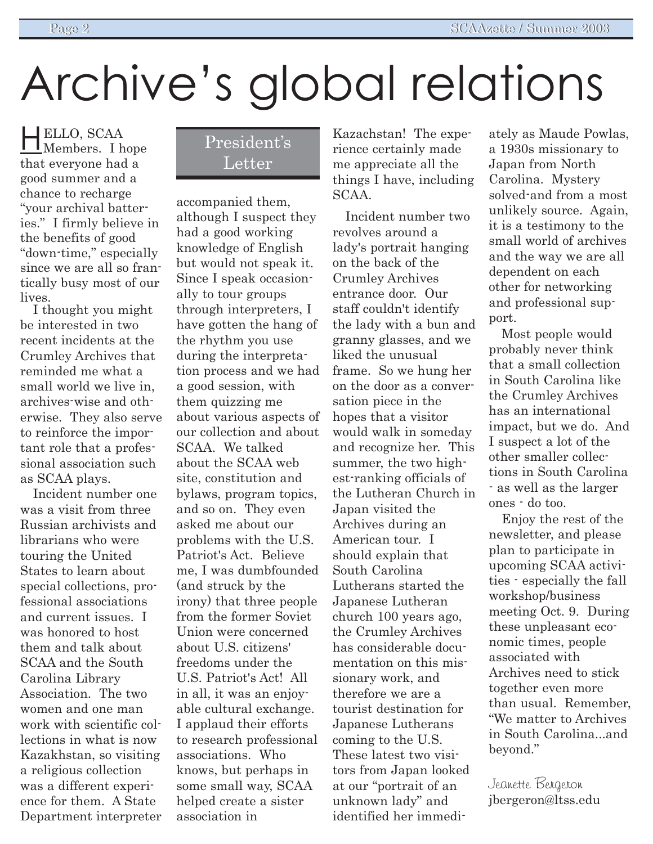# Archive's global relations

HELLO, SCAA Members. I hope that everyone had a good summer and a chance to recharge "vour archival batteries." I firmly believe in the benefits of good "down-time," especially since we are all so frantically busy most of our lives.

I thought you might be interested in two recent incidents at the Crumley Archives that reminded me what a small world we live in, archives-wise and otherwise. They also serve to reinforce the important role that a professional association such as SCAA plays.

Incident number one was a visit from three Russian archivists and librarians who were touring the United States to learn about special collections, professional associations and current issues. I was honored to host them and talk about SCAA and the South Carolina Library Association. The two women and one man work with scientific collections in what is now Kazakhstan, so visiting a religious collection was a different experience for them. A State Department interpreter

### President's **Letter**

accompanied them, although I suspect they had a good working knowledge of English but would not speak it. Since I speak occasionally to tour groups through interpreters, I have gotten the hang of the rhythm you use during the interpretation process and we had a good session, with them quizzing me about various aspects of our collection and about SCAA. We talked about the SCAA web site, constitution and bylaws, program topics, and so on. They even asked me about our problems with the U.S. Patriot's Act. Believe me, I was dumbfounded (and struck by the irony) that three people from the former Soviet Union were concerned about U.S. citizens' freedoms under the U.S. Patriot's Act! All in all, it was an enjoyable cultural exchange. I applaud their efforts to research professional associations. Who knows, but perhaps in some small way, SCAA helped create a sister association in

Kazachstan! The experience certainly made me appreciate all the things I have, including SCAA.

Incident number two revolves around a lady's portrait hanging on the back of the Crumley Archives entrance door. Our staff couldn't identify the lady with a bun and granny glasses, and we liked the unusual frame. So we hung her on the door as a conversation piece in the hopes that a visitor would walk in someday and recognize her. This summer, the two highest-ranking officials of the Lutheran Church in Japan visited the Archives during an American tour. I should explain that South Carolina Lutherans started the Japanese Lutheran church 100 years ago, the Crumley Archives has considerable documentation on this missionary work, and therefore we are a tourist destination for Japanese Lutherans coming to the U.S. These latest two visitors from Japan looked at our "portrait of an unknown ladyî and identified her immedi-

ately as Maude Powlas, a 1930s missionary to Japan from North Carolina. Mystery solved-and from a most unlikely source. Again, it is a testimony to the small world of archives and the way we are all dependent on each other for networking and professional support.

Most people would probably never think that a small collection in South Carolina like the Crumley Archives has an international impact, but we do. And I suspect a lot of the other smaller collections in South Carolina - as well as the larger ones - do too.

Enjoy the rest of the newsletter, and please plan to participate in upcoming SCAA activities - especially the fall workshop/business meeting Oct. 9. During these unpleasant economic times, people associated with Archives need to stick together even more than usual. Remember, ìWe matter to Archives in South Carolina...and beyond."

Jeanette Bergeron jbergeron@ltss.edu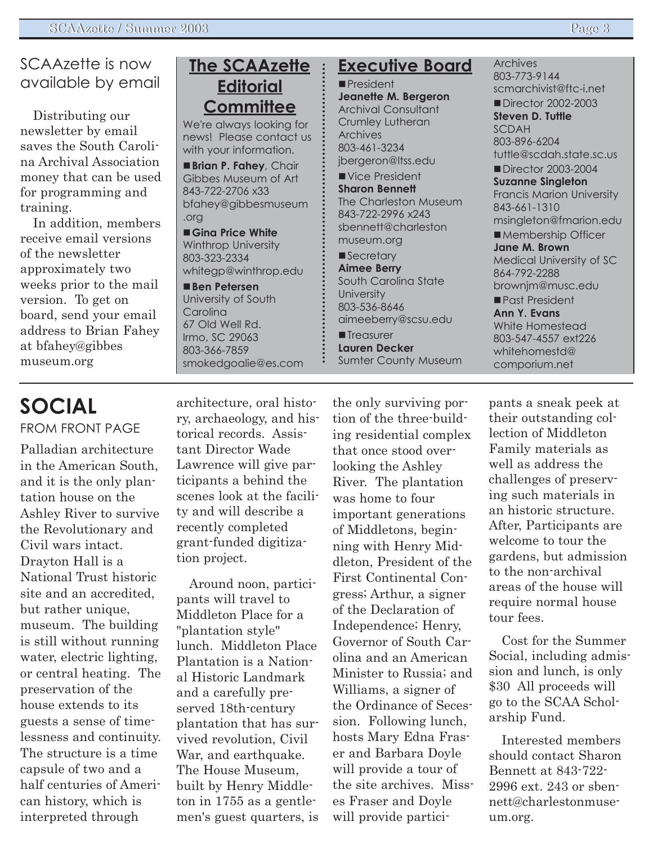#### SCAAzette is now available by email

Distributing our newsletter by email saves the South Carolina Archival Association money that can be used for programming and training.

In addition, members receive email versions of the newsletter approximately two weeks prior to the mail version. To get on board, send your email address to Brian Fahey at bfahey@gibbes museum.org

## **The SCAAzette Editorial Committee**

We're always looking for news! Please contact us with your information.

!**Brian P. Fahey**, Chair Gibbes Museum of Art 843-722-2706 x33 bfahey@gibbesmuseum .org

!**Gina Price White** Winthrop University 803-323-2334 whitegp@winthrop.edu

!**Ben Petersen** University of South **Carolina** 67 Old Well Rd. Irmo, SC 29063 803-366-7859 smokedgoalie@es.com

#### **Executive Board**

**President Jeanette M. Bergeron** Archival Consultant Crumley Lutheran Archives 803-461-3234 jbergeron@ltss.edu

Vice President **Sharon Bennett** The Charleston Museum 843-722-2996 x243 sbennett@charleston museum.org

**Secretary Aimee Berry** South Carolina State **University** 803-536-8646 aimeeberry@scsu.edu **Treasurer Lauren Decker** Sumter County Museum Archives 803-773-9144 scmarchivist@ftc-i.net

■ Director 2002-2003 **Steven D. Tuttle** SCDAH 803-896-6204 tuttle@scdah.state.sc.us

■ Director 2003-2004 **Suzanne Singleton** Francis Marion University 843-661-1310 msingleton@fmarion.edu

■ Membership Officer **Jane M. Brown** Medical University of SC 864-792-2288 brownjm@musc.edu

Past President **Ann Y. Evans** White Homestead 803-547-4557 ext226 whitehomestd@ comporium.net

## **SOCIAL** FROM FRONT PAGE

Palladian architecture in the American South, and it is the only plantation house on the Ashley River to survive the Revolutionary and Civil wars intact. Drayton Hall is a National Trust historic site and an accredited, but rather unique, museum. The building is still without running water, electric lighting, or central heating. The preservation of the house extends to its guests a sense of timelessness and continuity. The structure is a time capsule of two and a half centuries of American history, which is interpreted through

architecture, oral history, archaeology, and historical records. Assistant Director Wade Lawrence will give participants a behind the scenes look at the facility and will describe a recently completed grant-funded digitization project.

Around noon, participants will travel to Middleton Place for a "plantation style" lunch. Middleton Place Plantation is a National Historic Landmark and a carefully preserved 18th-century plantation that has survived revolution, Civil War, and earthquake. The House Museum, built by Henry Middleton in 1755 as a gentlemen's guest quarters, is

the only surviving portion of the three-building residential complex that once stood overlooking the Ashley River. The plantation was home to four important generations of Middletons, beginning with Henry Middleton, President of the First Continental Congress; Arthur, a signer of the Declaration of Independence; Henry, Governor of South Carolina and an American Minister to Russia; and Williams, a signer of the Ordinance of Secession. Following lunch, hosts Mary Edna Fraser and Barbara Doyle will provide a tour of the site archives. Misses Fraser and Doyle will provide participants a sneak peek at their outstanding collection of Middleton Family materials as well as address the challenges of preserving such materials in an historic structure. After, Participants are welcome to tour the gardens, but admission to the non-archival areas of the house will require normal house tour fees.

Cost for the Summer Social, including admission and lunch, is only \$30 All proceeds will go to the SCAA Scholarship Fund.

Interested members should contact Sharon Bennett at 843-722- 2996 ext. 243 or sbennett@charlestonmuseum.org.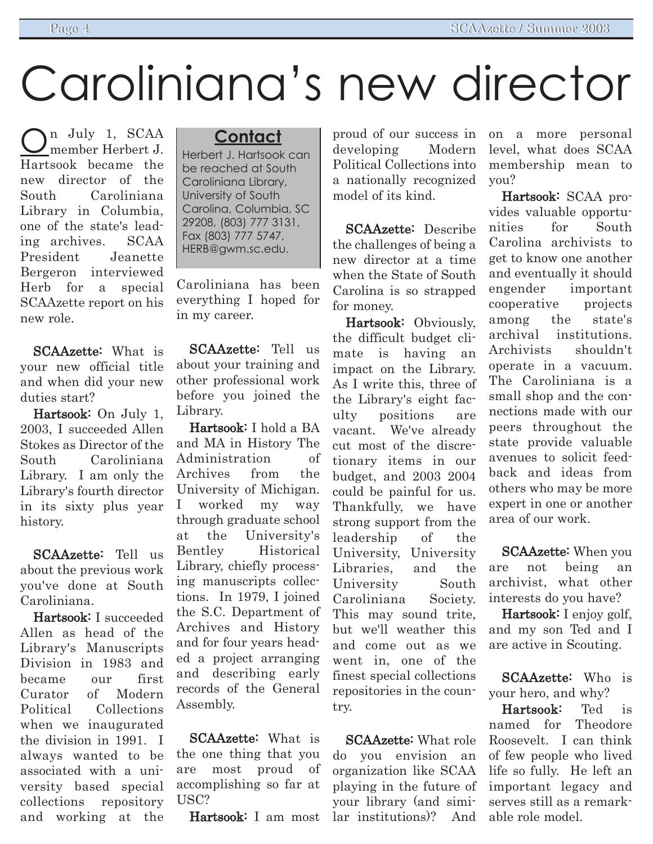# Caroliniana's new director

n July 1, SCAA member Herbert J. Hartsook became the new director of the South Caroliniana Library in Columbia, one of the state's leading archives. SCAA President Jeanette Bergeron interviewed Herb for a special SCAAzette report on his new role.

SCAAzette: What is your new official title and when did your new duties start?

Hartsook: On July 1, 2003, I succeeded Allen Stokes as Director of the South Caroliniana Library. I am only the Library's fourth director in its sixty plus year history.

SCAAzette: Tell us about the previous work you've done at South Caroliniana.

Hartsook: I succeeded Allen as head of the Library's Manuscripts Division in 1983 and became our first Curator of Modern Political Collections when we inaugurated the division in 1991. I always wanted to be associated with a university based special collections repository and working at the

#### **Contact**

Herbert J. Hartsook can be reached at South Caroliniana Library, University of South Carolina, Columbia, SC 29208, (803) 777 3131, Fax (803) 777 5747, HERB@gwm.sc.edu.

Caroliniana has been everything I hoped for in my career.

SCAAzette: Tell us about your training and other professional work before you joined the Library.

Hartsook: I hold a BA and MA in History The Administration of Archives from the University of Michigan. I worked my way through graduate school at the University's Bentley Historical Library, chiefly processing manuscripts collections. In 1979, I joined the S.C. Department of Archives and History and for four years headed a project arranging and describing early records of the General Assembly.

SCAAzette: What is the one thing that you are most proud of accomplishing so far at USC?

Hartsook: I am most

proud of our success in developing Modern Political Collections into a nationally recognized model of its kind.

SCAAzette: Describe the challenges of being a new director at a time when the State of South Carolina is so strapped for money.

Hartsook: Obviously, the difficult budget climate is having an impact on the Library. As I write this, three of the Library's eight faculty positions are vacant. We've already cut most of the discretionary items in our budget, and 2003 2004 could be painful for us. Thankfully, we have strong support from the leadership of the University, University Libraries, and the University South Caroliniana Society. This may sound trite, but we'll weather this and come out as we went in, one of the finest special collections repositories in the country.

SCAAzette: What role do you envision an organization like SCAA playing in the future of your library (and similar institutions)? And

on a more personal level, what does SCAA membership mean to you?

Hartsook: SCAA provides valuable opportunities for South Carolina archivists to get to know one another and eventually it should engender important cooperative projects among the state's archival institutions. Archivists shouldn't operate in a vacuum. The Caroliniana is a small shop and the connections made with our peers throughout the state provide valuable avenues to solicit feedback and ideas from others who may be more expert in one or another area of our work.

SCAAzette: When you are not being an archivist, what other interests do you have?

Hartsook: I enjoy golf, and my son Ted and I are active in Scouting.

SCAAzette: Who is your hero, and why?

Hartsook: Ted is named for Theodore Roosevelt. I can think of few people who lived life so fully. He left an important legacy and serves still as a remarkable role model.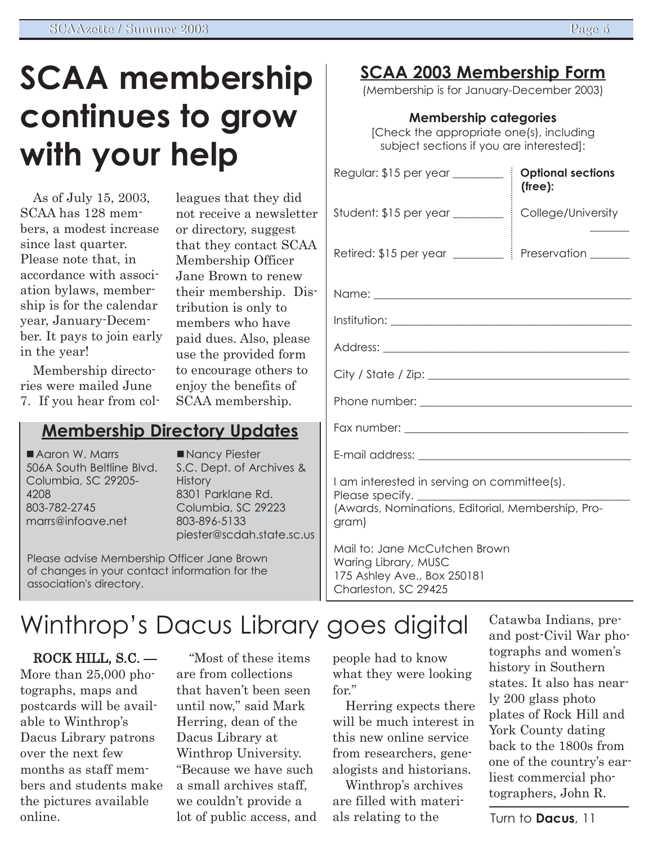# **SCAA membership continues to grow with your help**

As of July 15, 2003, SCAA has 128 members, a modest increase since last quarter. Please note that, in accordance with association bylaws, membership is for the calendar year, January-December. It pays to join early in the year!

Membership directories were mailed June 7. If you hear from col-

### **Membership Directory Updates**

**Aaron W. Marrs** 506A South Beltline Blvd. Columbia, SC 29205- 4208 803-782-2745 marrs@infoave.net

Nancy Piester S.C. Dept. of Archives & **History** 8301 Parklane Rd. Columbia, SC 29223 803-896-5133 piester@scdah.state.sc.us

leagues that they did not receive a newsletter or directory, suggest that they contact SCAA Membership Officer Jane Brown to renew their membership. Dis-

tribution is only to members who have paid dues. Also, please use the provided form to encourage others to enjoy the benefits of SCAA membership.

Please advise Membership Officer Jane Brown of changes in your contact information for the association's directory.

# Winthrop's Dacus Library goes digital

 $ROCK HILL, S.C.$   $-$ More than 25,000 photographs, maps and postcards will be available to Winthrop's Dacus Library patrons over the next few months as staff members and students make the pictures available online.

ìMost of these items are from collections that haven't been seen until now," said Mark Herring, dean of the Dacus Library at Winthrop University. "Because we have such a small archives staff, we couldn't provide a lot of public access, and

### **SCAA 2003 Membership Form**

(Membership is for January-December 2003)

#### **Membership categories**

[Check the appropriate one(s), including subject sections if you are interested]:

| Regular: \$15 per year __________ i                                                                       | <b>Optional sections</b><br>(free): |
|-----------------------------------------------------------------------------------------------------------|-------------------------------------|
| Student: $$15$ per year $\_\_\_\_\_\_\_\$                                                                 | College/University                  |
|                                                                                                           |                                     |
|                                                                                                           |                                     |
| $Institution: \_\_$                                                                                       |                                     |
|                                                                                                           |                                     |
|                                                                                                           |                                     |
|                                                                                                           |                                     |
|                                                                                                           |                                     |
|                                                                                                           |                                     |
| I am interested in serving on committee(s).<br>(Awards, Nominations, Editorial, Membership, Pro-<br>gram) |                                     |
| Mail to: Jane McCutchen Brown                                                                             |                                     |

Waring Library, MUSC 175 Ashley Ave., Box 250181 Charleston, SC 29425

people had to know what they were looking

Herring expects there will be much interest in this new online service from researchers, genealogists and historians. Winthrop's archives are filled with materials relating to the

for."

Catawba Indians, preand post-Civil War photographs and women's history in Southern states. It also has nearly 200 glass photo plates of Rock Hill and York County dating back to the 1800s from one of the countryís earliest commercial photographers, John R.

Turn to **Dacus**, 11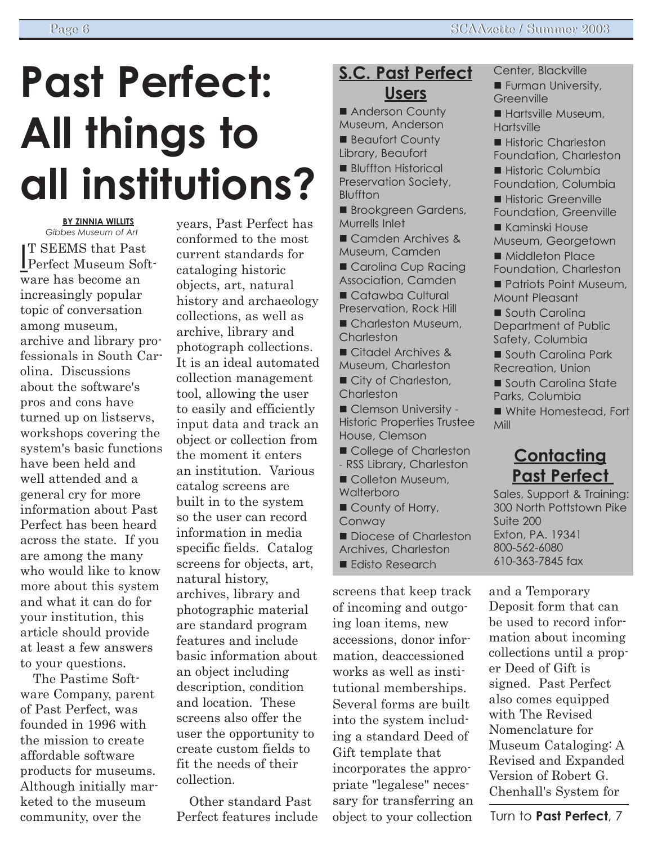# **Past Perfect: All things to all institutions?**

**BY ZINNIA WILLITS** *Gibbes Museum of Art*

I Perfect Museum Soft-T SEEMS that Past ware has become an increasingly popular topic of conversation among museum, archive and library professionals in South Carolina. Discussions about the software's pros and cons have turned up on listservs, workshops covering the system's basic functions have been held and well attended and a general cry for more information about Past Perfect has been heard across the state. If you are among the many who would like to know more about this system and what it can do for your institution, this article should provide at least a few answers to your questions.

The Pastime Software Company, parent of Past Perfect, was founded in 1996 with the mission to create affordable software products for museums. Although initially marketed to the museum community, over the

years, Past Perfect has conformed to the most current standards for cataloging historic objects, art, natural history and archaeology collections, as well as archive, library and photograph collections. It is an ideal automated collection management tool, allowing the user to easily and efficiently input data and track an object or collection from the moment it enters an institution. Various catalog screens are built in to the system so the user can record information in media specific fields. Catalog screens for objects, art, natural history, archives, library and photographic material are standard program features and include basic information about an object including description, condition and location. These screens also offer the user the opportunity to create custom fields to fit the needs of their

Other standard Past Perfect features include

collection.

### **S.C. Past Perfect Users**

■ Anderson County Museum, Anderson **Beaufort County** Library, Beaufort **Bluffton Historical** Preservation Society,

- Bluffton
- **Brookgreen Gardens,** Murrells Inlet
- **Camden Archives &** Museum, Camden
- Carolina Cup Racing Association, Camden
- Catawba Cultural Preservation, Rock Hill
- **Charleston Museum, Charleston**
- **Citadel Archives &** Museum, Charleston **City of Charleston, Charleston**
- **Clemson University -**Historic Properties Trustee House, Clemson
- College of Charleston
- RSS Library, Charleston
- Colleton Museum, **Walterboro**
- 
- County of Horry,
- Conway Diocese of Charleston
- Archives, Charleston
- **Edisto Research**

screens that keep track of incoming and outgoing loan items, new accessions, donor information, deaccessioned works as well as institutional memberships. Several forms are built into the system including a standard Deed of Gift template that incorporates the appropriate "legalese" necessary for transferring an object to your collection

- Center, Blackville
- **E** Furman University, **Greenville**
- **Hartsville Museum, Hartsville**
- **E** Historic Charleston Foundation, Charleston
- **Historic Columbia**
- Foundation, Columbia **I** Historic Greenville
- Foundation, Greenville
- **Kaminski House**
- Museum, Georgetown
- Middleton Place
- Foundation, Charleston
- **Patriots Point Museum.** Mount Pleasant

**South Carolina** Department of Public Safety, Columbia

- **South Carolina Park** Recreation, Union
- **South Carolina State** Parks, Columbia
- White Homestead, Fort Mill

### **Contacting Past Perfect**

Sales, Support & Training: 300 North Pottstown Pike Suite 200 Exton, PA. 19341 800-562-6080 610-363-7845 fax

and a Temporary Deposit form that can be used to record information about incoming collections until a proper Deed of Gift is signed. Past Perfect also comes equipped with The Revised Nomenclature for Museum Cataloging: A Revised and Expanded Version of Robert G. Chenhall's System for

Turn to **Past Perfect**, 7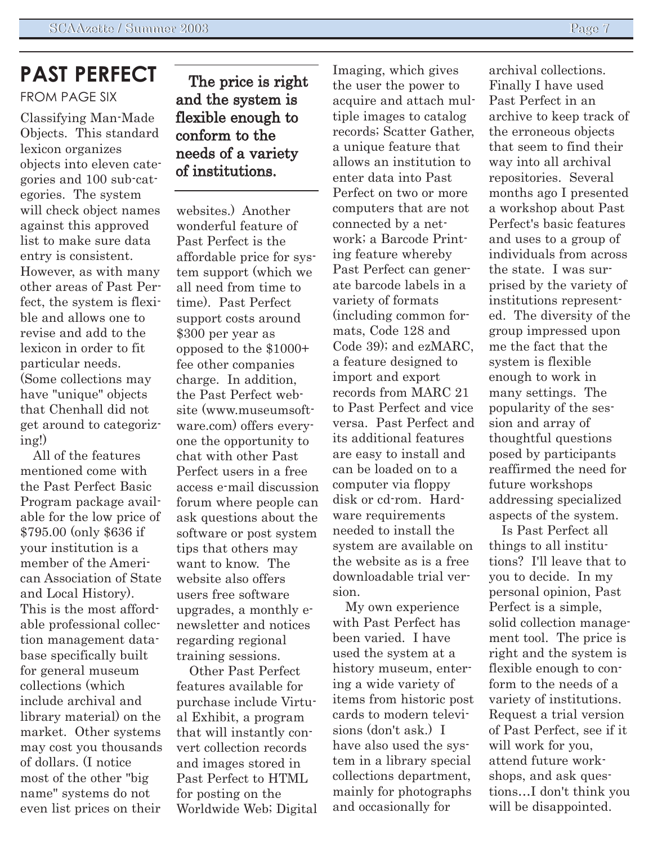#### **PAST PERFECT** FROM PAGE SIX

Classifying Man-Made Objects. This standard lexicon organizes objects into eleven categories and 100 sub-categories. The system will check object names against this approved list to make sure data entry is consistent. However, as with many other areas of Past Perfect, the system is flexible and allows one to revise and add to the lexicon in order to fit particular needs. (Some collections may have "unique" objects that Chenhall did not get around to categorizing!)

All of the features mentioned come with the Past Perfect Basic Program package available for the low price of \$795.00 (only \$636 if your institution is a member of the American Association of State and Local History). This is the most affordable professional collection management database specifically built for general museum collections (which include archival and library material) on the market. Other systems may cost you thousands of dollars. (I notice most of the other "big name" systems do not even list prices on their

#### The price is right and the system is flexible enough to conform to the needs of a variety of institutions.

websites.) Another wonderful feature of Past Perfect is the affordable price for system support (which we all need from time to time). Past Perfect support costs around \$300 per year as opposed to the \$1000+ fee other companies charge. In addition, the Past Perfect website (www.museumsoftware.com) offers everyone the opportunity to chat with other Past Perfect users in a free access e-mail discussion forum where people can ask questions about the software or post system tips that others may want to know. The website also offers users free software upgrades, a monthly enewsletter and notices regarding regional training sessions.

Other Past Perfect features available for purchase include Virtual Exhibit, a program that will instantly convert collection records and images stored in Past Perfect to HTML for posting on the Worldwide Web; Digital Imaging, which gives the user the power to acquire and attach multiple images to catalog records; Scatter Gather, a unique feature that allows an institution to enter data into Past Perfect on two or more computers that are not connected by a network; a Barcode Printing feature whereby Past Perfect can generate barcode labels in a variety of formats (including common formats, Code 128 and Code 39); and ezMARC, a feature designed to import and export records from MARC 21 to Past Perfect and vice versa. Past Perfect and its additional features are easy to install and can be loaded on to a computer via floppy disk or cd-rom. Hardware requirements needed to install the system are available on the website as is a free downloadable trial version.

My own experience with Past Perfect has been varied. I have used the system at a history museum, entering a wide variety of items from historic post cards to modern televisions (don't ask.) I have also used the system in a library special collections department, mainly for photographs and occasionally for

archival collections. Finally I have used Past Perfect in an archive to keep track of the erroneous objects that seem to find their way into all archival repositories. Several months ago I presented a workshop about Past Perfect's basic features and uses to a group of individuals from across the state. I was surprised by the variety of institutions represented. The diversity of the group impressed upon me the fact that the system is flexible enough to work in many settings. The popularity of the session and array of thoughtful questions posed by participants reaffirmed the need for future workshops addressing specialized aspects of the system.

Is Past Perfect all things to all institutions? I'll leave that to you to decide. In my personal opinion, Past Perfect is a simple, solid collection management tool. The price is right and the system is flexible enough to conform to the needs of a variety of institutions. Request a trial version of Past Perfect, see if it will work for you. attend future workshops, and ask questions...I don't think you will be disappointed.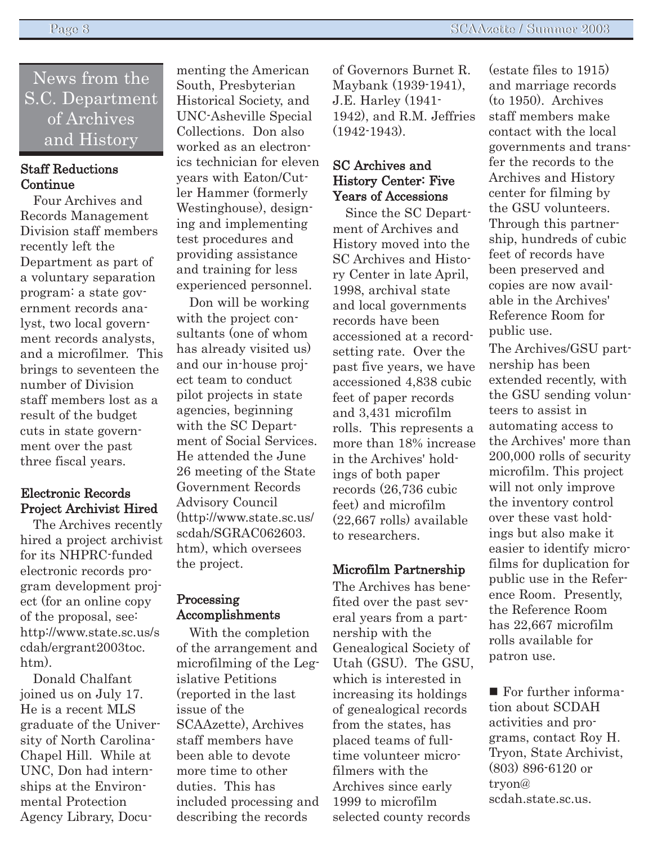News from the S.C. Department of Archives and History

#### Staff Reductions Continue

Four Archives and Records Management Division staff members recently left the Department as part of a voluntary separation program: a state government records analyst, two local government records analysts, and a microfilmer. This brings to seventeen the number of Division staff members lost as a result of the budget cuts in state government over the past three fiscal years.

#### Electronic Records Project Archivist Hired

The Archives recently hired a project archivist for its NHPRC-funded electronic records program development project (for an online copy of the proposal, see: http://www.state.sc.us/s cdah/ergrant2003toc. htm).

Donald Chalfant joined us on July 17. He is a recent MLS graduate of the University of North Carolina-Chapel Hill. While at UNC, Don had internships at the Environmental Protection Agency Library, Documenting the American South, Presbyterian Historical Society, and UNC-Asheville Special Collections. Don also worked as an electronics technician for eleven years with Eaton/Cutler Hammer (formerly Westinghouse), designing and implementing test procedures and providing assistance and training for less experienced personnel.

Don will be working with the project consultants (one of whom has already visited us) and our in-house project team to conduct pilot projects in state agencies, beginning with the SC Department of Social Services. He attended the June 26 meeting of the State Government Records Advisory Council (http://www.state.sc.us/ scdah/SGRAC062603. htm), which oversees the project.

#### Processing Accomplishments

With the completion of the arrangement and microfilming of the Legislative Petitions (reported in the last issue of the SCAAzette), Archives staff members have been able to devote more time to other duties. This has included processing and describing the records

of Governors Burnet R. Maybank (1939-1941), J.E. Harley (1941- 1942), and R.M. Jeffries  $(1942-1943)$ .

#### SC Archives and History Center: Five Years of Accessions

Since the SC Department of Archives and History moved into the SC Archives and History Center in late April, 1998, archival state and local governments records have been accessioned at a recordsetting rate. Over the past five years, we have accessioned 4,838 cubic feet of paper records and 3,431 microfilm rolls. This represents a more than 18% increase in the Archives' holdings of both paper records (26,736 cubic feet) and microfilm (22,667 rolls) available to researchers.

#### Microfilm Partnership

The Archives has benefited over the past several years from a partnership with the Genealogical Society of Utah (GSU). The GSU, which is interested in increasing its holdings of genealogical records from the states, has placed teams of fulltime volunteer microfilmers with the Archives since early 1999 to microfilm selected county records

(estate files to 1915) and marriage records (to 1950). Archives staff members make contact with the local governments and transfer the records to the Archives and History center for filming by the GSU volunteers. Through this partnership, hundreds of cubic feet of records have been preserved and copies are now available in the Archives' Reference Room for public use.

The Archives/GSU partnership has been extended recently, with the GSU sending volunteers to assist in automating access to the Archives' more than 200,000 rolls of security microfilm. This project will not only improve the inventory control over these vast holdings but also make it easier to identify microfilms for duplication for public use in the Reference Room. Presently, the Reference Room has 22,667 microfilm rolls available for patron use.

■ For further information about SCDAH activities and programs, contact Roy H. Tryon, State Archivist, (803) 896-6120 or tryon@ scdah.state.sc.us.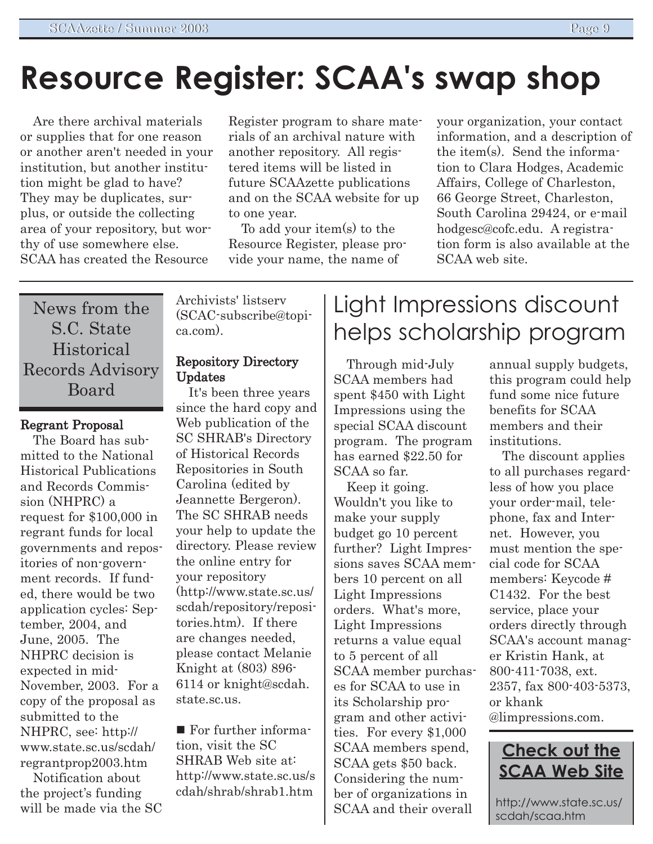# **Resource Register: SCAA's swap shop**

Are there archival materials or supplies that for one reason or another aren't needed in your institution, but another institution might be glad to have? They may be duplicates, surplus, or outside the collecting area of your repository, but worthy of use somewhere else. SCAA has created the Resource

Register program to share materials of an archival nature with another repository. All registered items will be listed in future SCAAzette publications and on the SCAA website for up to one year.

To add your item(s) to the Resource Register, please provide your name, the name of

your organization, your contact information, and a description of the item(s). Send the information to Clara Hodges, Academic Affairs, College of Charleston, 66 George Street, Charleston, South Carolina 29424, or e-mail hodgesc@cofc.edu. A registration form is also available at the SCAA web site.

News from the S.C. State **Historical** Records Advisory Board

#### Regrant Proposal

The Board has submitted to the National Historical Publications and Records Commission (NHPRC) a request for \$100,000 in regrant funds for local governments and repositories of non-government records. If funded, there would be two application cycles: September, 2004, and June, 2005. The NHPRC decision is expected in mid-November, 2003. For a copy of the proposal as submitted to the NHPRC, see: http:// www.state.sc.us/scdah/ regrantprop2003.htm

Notification about the project's funding will be made via the SC Archivists' listserv (SCAC-subscribe@topica.com).

#### Repository Directory Updates

It's been three years since the hard copy and Web publication of the SC SHRAB's Directory of Historical Records Repositories in South Carolina (edited by Jeannette Bergeron). The SC SHRAB needs your help to update the directory. Please review the online entry for your repository (http://www.state.sc.us/ scdah/repository/repositories.htm). If there are changes needed, please contact Melanie Knight at (803) 896- 6114 or knight@scdah. state.sc.us.

■ For further information, visit the SC SHRAB Web site at: http://www.state.sc.us/s cdah/shrab/shrab1.htm

# Light Impressions discount helps scholarship program

Through mid-July SCAA members had spent \$450 with Light Impressions using the special SCAA discount program. The program has earned \$22.50 for SCAA so far.

Keep it going. Wouldn't you like to make your supply budget go 10 percent further? Light Impressions saves SCAA members 10 percent on all Light Impressions orders. What's more, Light Impressions returns a value equal to 5 percent of all SCAA member purchases for SCAA to use in its Scholarship program and other activities. For every \$1,000 SCAA members spend, SCAA gets \$50 back. Considering the number of organizations in SCAA and their overall

annual supply budgets, this program could help fund some nice future benefits for SCAA members and their institutions.

The discount applies to all purchases regardless of how you place your order-mail, telephone, fax and Internet. However, you must mention the special code for SCAA members: Keycode # C1432. For the best service, place your orders directly through SCAA's account manager Kristin Hank, at 800-411-7038, ext. 2357, fax 800-403-5373, or khank @limpressions.com.



http://www.state.sc.us/ scdah/scaa.htm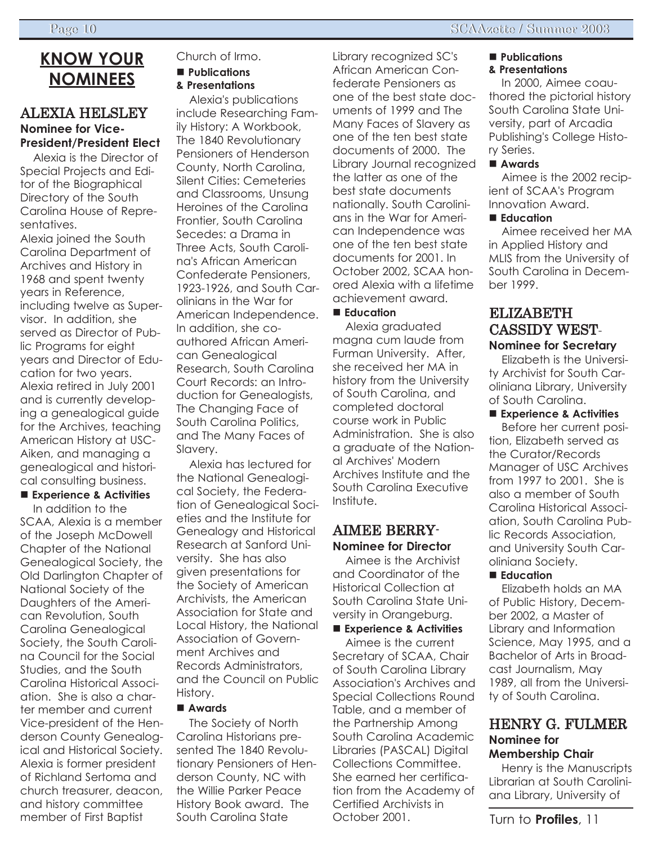### **KNOW YOUR NOMINEES**

#### ALEXIA HELSLEY **Nominee for Vice-President/President Elect**

Alexia is the Director of Special Projects and Editor of the Biographical Directory of the South Carolina House of Representatives.

Alexia joined the South Carolina Department of Archives and History in 1968 and spent twenty years in Reference, including twelve as Supervisor. In addition, she served as Director of Public Programs for eight years and Director of Education for two years. Alexia retired in July 2001 and is currently developing a genealogical guide for the Archives, teaching American History at USC-Aiken, and managing a genealogical and historical consulting business.

### ■ **Experience & Activities**

In addition to the SCAA, Alexia is a member of the Joseph McDowell Chapter of the National Genealogical Society, the Old Darlington Chapter of National Society of the Daughters of the American Revolution, South Carolina Genealogical Society, the South Carolina Council for the Social Studies, and the South Carolina Historical Association. She is also a charter member and current Vice-president of the Henderson County Genealogical and Historical Society. Alexia is former president of Richland Sertoma and church treasurer, deacon, and history committee member of First Baptist

#### Church of Irmo. ! **Publications**

**& Presentations**

Alexia's publications include Researching Family History: A Workbook, The 1840 Revolutionary Pensioners of Henderson County, North Carolina, Silent Cities: Cemeteries and Classrooms, Unsung Heroines of the Carolina Frontier, South Carolina Secedes: a Drama in Three Acts, South Carolina's African American Confederate Pensioners, 1923-1926, and South Carolinians in the War for American Independence. In addition, she coauthored African American Genealogical Research, South Carolina Court Records: an Introduction for Genealogists, The Changing Face of South Carolina Politics, and The Many Faces of Slavery.

Alexia has lectured for the National Genealogical Society, the Federation of Genealogical Societies and the Institute for Genealogy and Historical Research at Sanford University. She has also given presentations for the Society of American Archivists, the American Association for State and Local History, the National Association of Government Archives and Records Administrators, and the Council on Public History.

#### ! **Awards**

The Society of North Carolina Historians presented The 1840 Revolutionary Pensioners of Henderson County, NC with the Willie Parker Peace History Book award. The South Carolina State

Library recognized SC's African American Confederate Pensioners as one of the best state documents of 1999 and The Many Faces of Slavery as one of the ten best state documents of 2000. The Library Journal recognized the latter as one of the best state documents nationally. South Carolinians in the War for American Independence was one of the ten best state documents for 2001. In October 2002, SCAA honored Alexia with a lifetime achievement award.

#### ■ **Education**

Alexia graduated magna cum laude from Furman University. After, she received her MA in history from the University of South Carolina, and completed doctoral course work in Public Administration. She is also a graduate of the National Archives' Modern Archives Institute and the South Carolina Executive Institute.

#### AIMEE BERRY-**Nominee for Director**

Aimee is the Archivist and Coordinator of the Historical Collection at South Carolina State University in Orangeburg.

■ **Experience & Activities** Aimee is the current Secretary of SCAA, Chair of South Carolina Library Association's Archives and Special Collections Round Table, and a member of the Partnership Among South Carolina Academic Libraries (PASCAL) Digital Collections Committee. She earned her certification from the Academy of Certified Archivists in October 2001.

#### ■ **Publications & Presentations**

In 2000, Aimee coauthored the pictorial history South Carolina State University, part of Arcadia Publishing's College History Series.

#### ! **Awards**

Aimee is the 2002 recipient of SCAA's Program Innovation Award.

#### ■ **Education**

Aimee received her MA in Applied History and MLIS from the University of South Carolina in December 1999.

#### ELIZABETH CASSIDY WEST-**Nominee for Secretary**

Elizabeth is the University Archivist for South Caroliniana Library, University of South Carolina.

#### ■ Experience & Activities

Before her current position, Elizabeth served as the Curator/Records Manager of USC Archives from 1997 to 2001. She is also a member of South Carolina Historical Association, South Carolina Public Records Association, and University South Caroliniana Society.

#### ■ **Education**

Elizabeth holds an MA of Public History, December 2002, a Master of Library and Information Science, May 1995, and a Bachelor of Arts in Broadcast Journalism, May 1989, all from the University of South Carolina.

#### HENRY G. FULMER **Nominee for Membership Chair**

Henry is the Manuscripts Librarian at South Caroliniana Library, University of

Turn to **Profiles**, 11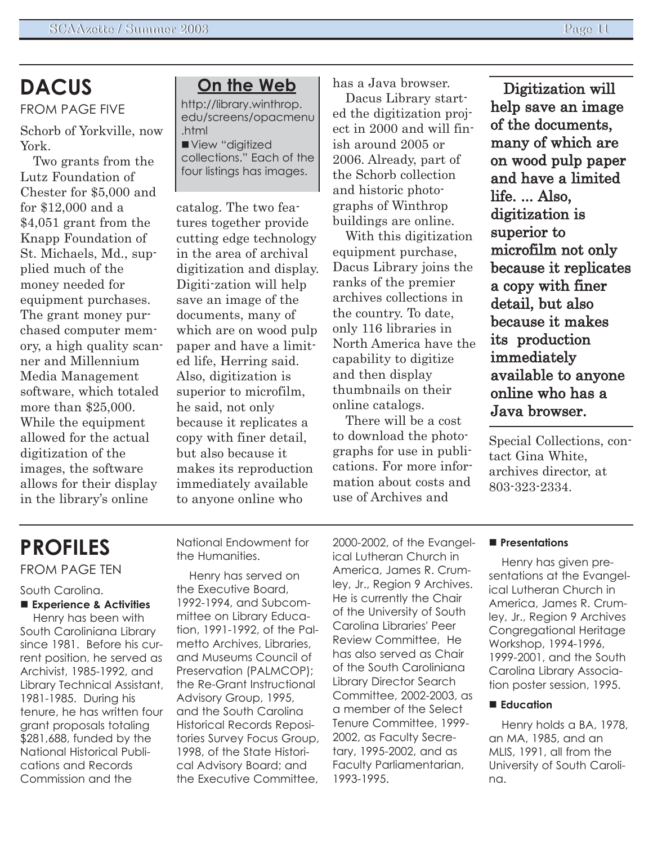## **DACUS**

FROM PAGE FIVE

Schorb of Yorkville, now York.

Two grants from the Lutz Foundation of Chester for \$5,000 and for \$12,000 and a \$4,051 grant from the Knapp Foundation of St. Michaels, Md., supplied much of the money needed for equipment purchases. The grant money purchased computer memory, a high quality scanner and Millennium Media Management software, which totaled more than \$25,000. While the equipment allowed for the actual digitization of the images, the software allows for their display in the libraryís online

#### **On the Web**

http://library.winthrop. edu/screens/opacmenu .html View "digitized collections." Each of the four listings has images.

catalog. The two features together provide cutting edge technology in the area of archival digitization and display. Digiti-zation will help save an image of the documents, many of which are on wood pulp paper and have a limited life, Herring said. Also, digitization is superior to microfilm, he said, not only because it replicates a copy with finer detail, but also because it makes its reproduction immediately available to anyone online who

has a Java browser.

Dacus Library started the digitization project in 2000 and will finish around 2005 or 2006. Already, part of the Schorb collection and historic photographs of Winthrop buildings are online.

With this digitization equipment purchase, Dacus Library joins the ranks of the premier archives collections in the country. To date, only 116 libraries in North America have the capability to digitize and then display thumbnails on their online catalogs.

There will be a cost to download the photographs for use in publications. For more information about costs and use of Archives and

Digitization will help save an image of the documents, many of which are on wood pulp paper and have a limited life. ... Also, digitization is superior to microfilm not only because it replicates a copy with finer detail, but also because it makes its production immediately available to anyone online who has a Java browser.

Special Collections, contact Gina White, archives director, at 803-323-2334.

# **PROFILES**

FROM PAGE TEN

#### South Carolina.

#### ! **Experience & Activities**

Henry has been with South Caroliniana Library since 1981. Before his current position, he served as Archivist, 1985-1992, and Library Technical Assistant, 1981-1985. During his tenure, he has written four grant proposals totaling \$281,688, funded by the National Historical Publications and Records Commission and the

National Endowment for the Humanities.

Henry has served on the Executive Board, 1992-1994, and Subcommittee on Library Education, 1991-1992, of the Palmetto Archives, Libraries, and Museums Council of Preservation (PALMCOP); the Re-Grant Instructional Advisory Group, 1995, and the South Carolina Historical Records Repositories Survey Focus Group, 1998, of the State Historical Advisory Board; and the Executive Committee,

2000-2002, of the Evangelical Lutheran Church in America, James R. Crumley, Jr., Region 9 Archives. He is currently the Chair of the University of South Carolina Libraries' Peer Review Committee, He has also served as Chair of the South Caroliniana Library Director Search Committee, 2002-2003, as a member of the Select Tenure Committee, 1999- 2002, as Faculty Secretary, 1995-2002, and as Faculty Parliamentarian, 1993-1995.

#### ! **Presentations**

Henry has given presentations at the Evangelical Lutheran Church in America, James R. Crumley, Jr., Region 9 Archives Congregational Heritage Workshop, 1994-1996, 1999-2001, and the South Carolina Library Association poster session, 1995.

#### ■ **Education**

Henry holds a BA, 1978, an MA, 1985, and an MLIS, 1991, all from the University of South Carolina.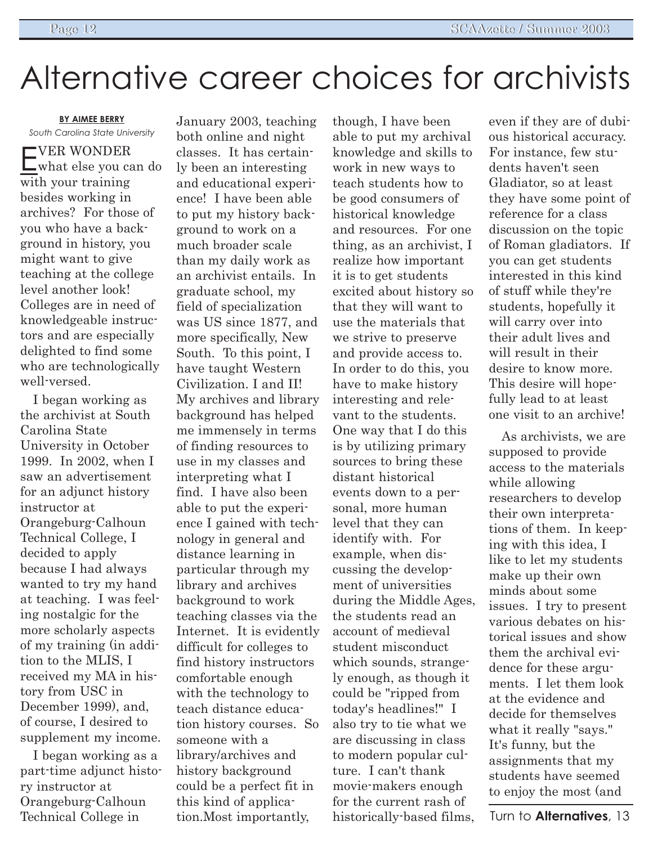# Alternative career choices for archivists

**BY AIMEE BERRY** *South Carolina State University*

EVER WONDER what else you can do with your training besides working in archives? For those of you who have a background in history, you might want to give teaching at the college level another look! Colleges are in need of knowledgeable instructors and are especially delighted to find some who are technologically well-versed.

I began working as the archivist at South Carolina State University in October 1999. In 2002, when I saw an advertisement for an adjunct history instructor at Orangeburg-Calhoun Technical College, I decided to apply because I had always wanted to try my hand at teaching. I was feeling nostalgic for the more scholarly aspects of my training (in addition to the MLIS, I received my MA in history from USC in December 1999), and, of course, I desired to supplement my income.

I began working as a part-time adjunct history instructor at Orangeburg-Calhoun Technical College in

January 2003, teaching both online and night classes. It has certainly been an interesting and educational experience! I have been able to put my history background to work on a much broader scale than my daily work as an archivist entails. In graduate school, my field of specialization was US since 1877, and more specifically, New South. To this point, I have taught Western Civilization. I and II! My archives and library background has helped me immensely in terms of finding resources to use in my classes and interpreting what I find. I have also been able to put the experience I gained with technology in general and distance learning in particular through my library and archives background to work teaching classes via the Internet. It is evidently difficult for colleges to find history instructors comfortable enough with the technology to teach distance education history courses. So someone with a library/archives and history background could be a perfect fit in this kind of application.Most importantly,

though, I have been able to put my archival knowledge and skills to work in new ways to teach students how to be good consumers of historical knowledge and resources. For one thing, as an archivist, I realize how important it is to get students excited about history so that they will want to use the materials that we strive to preserve and provide access to. In order to do this, you have to make history interesting and relevant to the students. One way that I do this is by utilizing primary sources to bring these distant historical events down to a personal, more human level that they can identify with. For example, when discussing the development of universities during the Middle Ages, the students read an account of medieval student misconduct which sounds, strangely enough, as though it could be "ripped from today's headlines!" I also try to tie what we are discussing in class to modern popular culture. I can't thank movie-makers enough for the current rash of historically-based films,

even if they are of dubious historical accuracy. For instance, few students haven't seen Gladiator, so at least they have some point of reference for a class discussion on the topic of Roman gladiators. If you can get students interested in this kind of stuff while they're students, hopefully it will carry over into their adult lives and will result in their desire to know more. This desire will hopefully lead to at least one visit to an archive!

As archivists, we are supposed to provide access to the materials while allowing researchers to develop their own interpretations of them. In keeping with this idea, I like to let my students make up their own minds about some issues. I try to present various debates on historical issues and show them the archival evidence for these arguments. I let them look at the evidence and decide for themselves what it really "says." It's funny, but the assignments that my students have seemed to enjoy the most (and